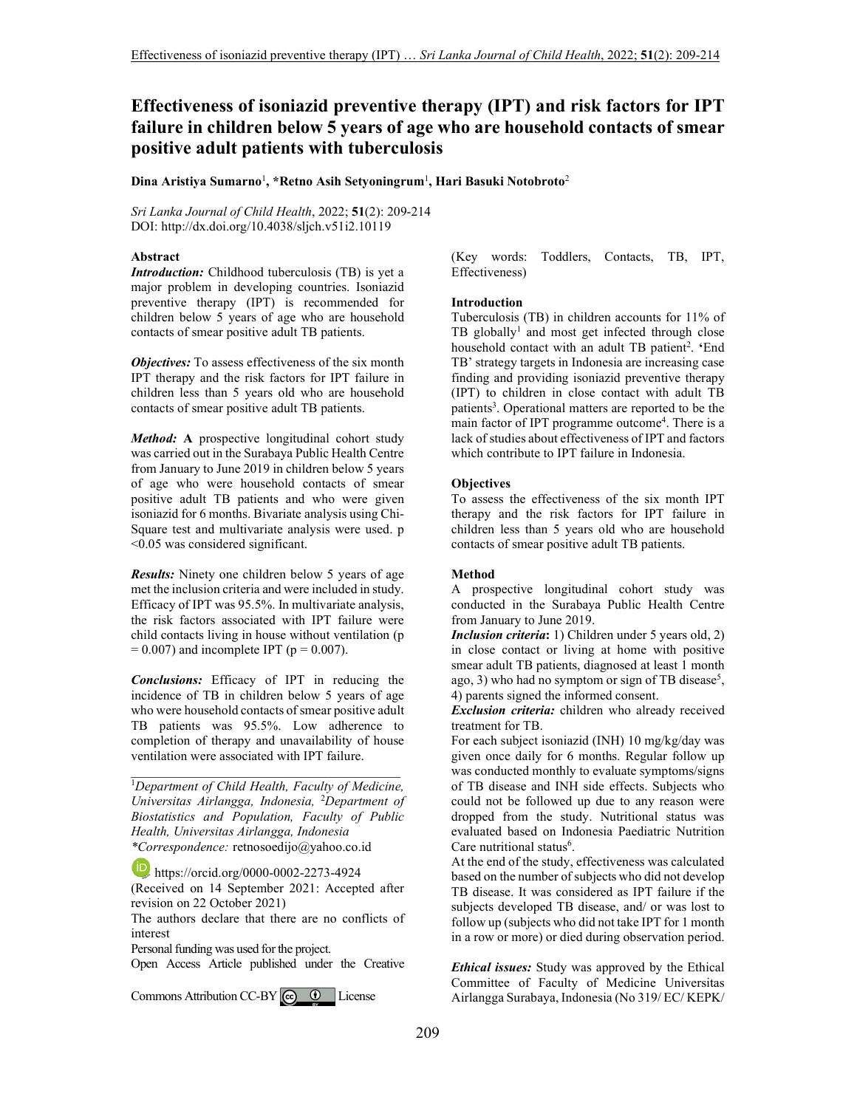# **Effectiveness of isoniazid preventive therapy (IPT) and risk factors for IPT failure in children below 5 years of age who are household contacts of smear positive adult patients with tuberculosis**

**Dina Aristiya Sumarno**<sup>1</sup> **, \*Retno Asih Setyoningrum**<sup>1</sup> **, Hari Basuki Notobroto**<sup>2</sup>

*Sri Lanka Journal of Child Health*, 2022; **51**(2): 209-214 DOI: http://dx.doi.org/10.4038/sljch.v51i2.10119

## **Abstract**

*Introduction:* Childhood tuberculosis (TB) is yet a major problem in developing countries. Isoniazid preventive therapy (IPT) is recommended for children below 5 years of age who are household contacts of smear positive adult TB patients.

*Objectives:* To assess effectiveness of the six month IPT therapy and the risk factors for IPT failure in children less than 5 years old who are household contacts of smear positive adult TB patients.

*Method:* **A** prospective longitudinal cohort study was carried out in the Surabaya Public Health Centre from January to June 2019 in children below 5 years of age who were household contacts of smear positive adult TB patients and who were given isoniazid for 6 months. Bivariate analysis using Chi-Square test and multivariate analysis were used. p <0.05 was considered significant.

*Results:* Ninety one children below 5 years of age met the inclusion criteria and were included in study. Efficacy of IPT was 95.5%. In multivariate analysis, the risk factors associated with IPT failure were child contacts living in house without ventilation (p  $= 0.007$ ) and incomplete IPT (p  $= 0.007$ ).

*Conclusions:* Efficacy of IPT in reducing the incidence of TB in children below 5 years of age who were household contacts of smear positive adult TB patients was 95.5%. Low adherence to completion of therapy and unavailability of house ventilation were associated with IPT failure.

<sup>1</sup>*Department of Child Health, Faculty of Medicine, Universitas Airlangga, Indonesia,* <sup>2</sup>*Department of Biostatistics and Population, Faculty of Public Health, Universitas Airlangga, Indonesia \*Correspondence:* retnosoedijo@yahoo.co.id

\_\_\_\_\_\_\_\_\_\_\_\_\_\_\_\_\_\_\_\_\_\_\_\_\_\_\_\_\_\_\_\_\_\_\_\_\_\_\_\_\_

 $\overline{\mathbf{D}}$ https://orcid.org/0000-0002-2273-4924

(Received on 14 September 2021: Accepted after revision on 22 October 2021)

The authors declare that there are no conflicts of interest

Personal funding was used for the project.

Open Access Article published under the Creative

CommonsAttribution CC-BY  $\left[\begin{array}{cc} \bigcirc \hspace{-0.1cm} & \bigcirc \hspace{-0.1cm} & \bigcirc \hspace{-0.1cm} & \bigcirc \hspace{-0.1cm} & \bigcirc \hspace{-0.1cm} & \bigcirc \hspace{-0.1cm} & \bigcirc \hspace{-0.1cm} & \bigcirc \hspace{-0.1cm} & \bigcirc \hspace{-0.1cm} & \bigcirc \hspace{-0.1cm} & \bigcirc \hspace{-0.1cm} & \bigcirc \hspace{-0.1cm} & \bigcirc \hspace{-0.1cm} & \bigcirc \hspace{-0.1cm} & \bigcirc$ 

(Key words: Toddlers, Contacts, TB, IPT, Effectiveness)

#### **Introduction**

Tuberculosis (TB) in children accounts for 11% of TB globally<sup>1</sup> and most get infected through close household contact with an adult TB patient<sup>2</sup>. 'End TB' strategy targets in Indonesia are increasing case finding and providing isoniazid preventive therapy (IPT) to children in close contact with adult TB patients<sup>3</sup>. Operational matters are reported to be the main factor of IPT programme outcome<sup>4</sup>. There is a lack of studies about effectiveness of IPT and factors which contribute to IPT failure in Indonesia.

#### **Objectives**

To assess the effectiveness of the six month IPT therapy and the risk factors for IPT failure in children less than 5 years old who are household contacts of smear positive adult TB patients.

#### **Method**

A prospective longitudinal cohort study was conducted in the Surabaya Public Health Centre from January to June 2019.

*Inclusion criteria***:** 1) Children under 5 years old, 2) in close contact or living at home with positive smear adult TB patients, diagnosed at least 1 month ago, 3) who had no symptom or sign of TB disease<sup>5</sup>, 4) parents signed the informed consent.

*Exclusion criteria:* children who already received treatment for TB.

For each subject isoniazid (INH) 10 mg/kg/day was given once daily for 6 months. Regular follow up was conducted monthly to evaluate symptoms/signs of TB disease and INH side effects. Subjects who could not be followed up due to any reason were dropped from the study. Nutritional status was evaluated based on Indonesia Paediatric Nutrition Care nutritional status<sup>6</sup>.

At the end of the study, effectiveness was calculated based on the number of subjects who did not develop TB disease. It was considered as IPT failure if the subjects developed TB disease, and/ or was lost to follow up (subjects who did not take IPT for 1 month in a row or more) or died during observation period.

*Ethical issues:* Study was approved by the Ethical Committee of Faculty of Medicine Universitas Airlangga Surabaya, Indonesia (No 319/ EC/ KEPK/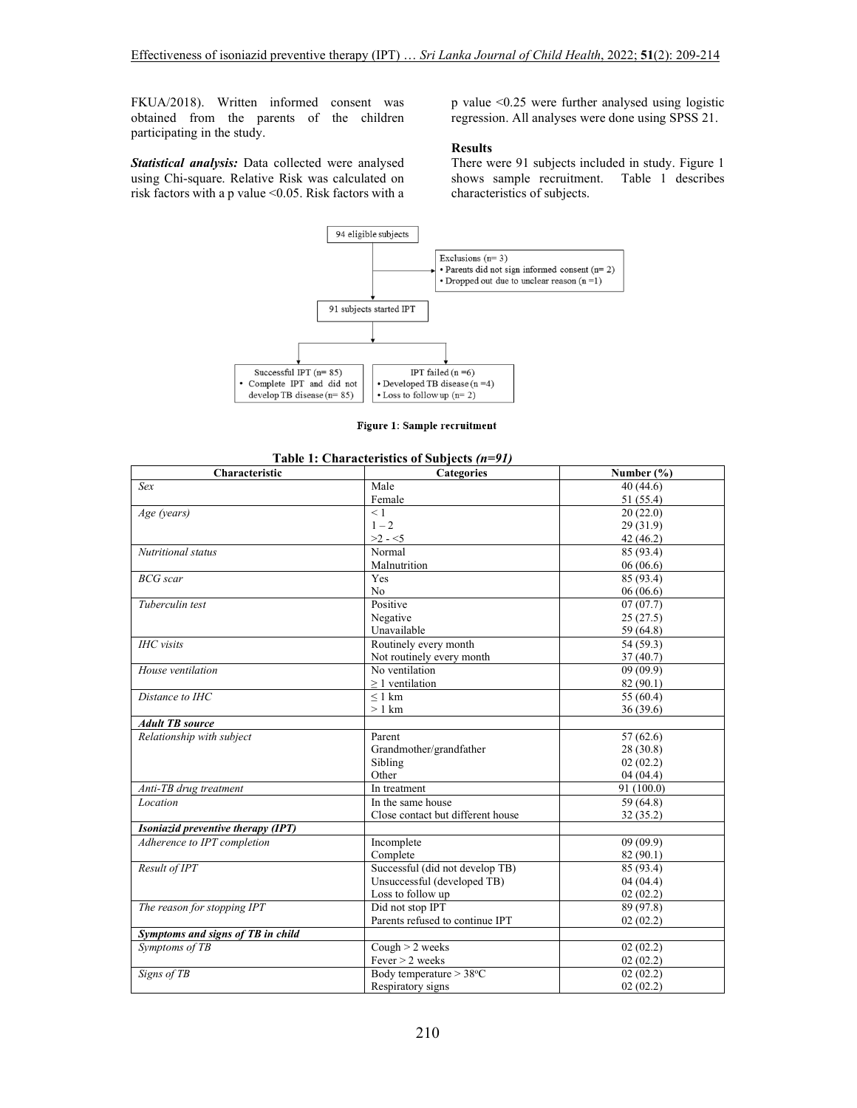FKUA/2018). Written informed consent was obtained from the parents of the children participating in the study.

*Statistical analysis:* Data collected were analysed using Chi-square. Relative Risk was calculated on risk factors with a p value <0.05. Risk factors with a

p value <0.25 were further analysed using logistic regression. All analyses were done using SPSS 21.

#### **Results**

There were 91 subjects included in study. Figure 1 shows sample recruitment. Table 1 describes characteristics of subjects.



Figure 1: Sample recruitment

| Characteristic                     | <b>Categories</b>                 | Number (%) |
|------------------------------------|-----------------------------------|------------|
| Sex                                | Male                              | 40(44.6)   |
|                                    | Female                            | 51 (55.4)  |
| Age (years)                        | < 1                               | 20(22.0)   |
|                                    | $1 - 2$                           | 29 (31.9)  |
|                                    | $>2 - 5$                          | 42 (46.2)  |
| Nutritional status                 | Normal                            | 85 (93.4)  |
|                                    | Malnutrition                      | 06(06.6)   |
| <b>BCG</b> scar                    | Yes                               | 85 (93.4)  |
|                                    | No                                | 06(06.6)   |
| Tuberculin test                    | Positive                          | 07(07.7)   |
|                                    | Negative                          | 25(27.5)   |
|                                    | Unavailable                       | 59 (64.8)  |
| <b>IHC</b> visits                  | Routinely every month             | 54 (59.3)  |
|                                    | Not routinely every month         | 37(40.7)   |
| House ventilation                  | No ventilation                    | 09(09.9)   |
|                                    | $\geq$ 1 ventilation              | 82 (90.1)  |
| Distance to IHC                    | $\leq 1$ km                       | 55 (60.4)  |
|                                    | $>1$ km                           | 36 (39.6)  |
| <b>Adult TB</b> source             |                                   |            |
| Relationship with subject          | Parent                            | 57(62.6)   |
|                                    | Grandmother/grandfather           | 28 (30.8)  |
|                                    | Sibling                           | 02(02.2)   |
|                                    | Other                             | 04(04.4)   |
| Anti-TB drug treatment             | In treatment                      | 91 (100.0) |
| Location                           | In the same house                 | 59 (64.8)  |
|                                    | Close contact but different house | 32 (35.2)  |
| Isoniazid preventive therapy (IPT) |                                   |            |
| Adherence to IPT completion        | Incomplete                        | 09(09.9)   |
|                                    | Complete                          | 82(90.1)   |
| Result of IPT                      | Successful (did not develop TB)   | 85 (93.4)  |
|                                    | Unsuccessful (developed TB)       | 04(04.4)   |
|                                    | Loss to follow up                 | 02(02.2)   |
| The reason for stopping IPT        | Did not stop IPT                  | 89 (97.8)  |
|                                    | Parents refused to continue IPT   | 02(02.2)   |
| Symptoms and signs of TB in child  |                                   |            |
| Symptoms of TB                     | Cough $> 2$ weeks                 | 02(02.2)   |
|                                    | Fever $> 2$ weeks                 | 02(02.2)   |
| Signs of TB                        | Body temperature $> 38$ °C        | 02(02.2)   |
|                                    | Respiratory signs                 | 02(02.2)   |

# **Table 1: Characteristics of Subjects** *(n=91)*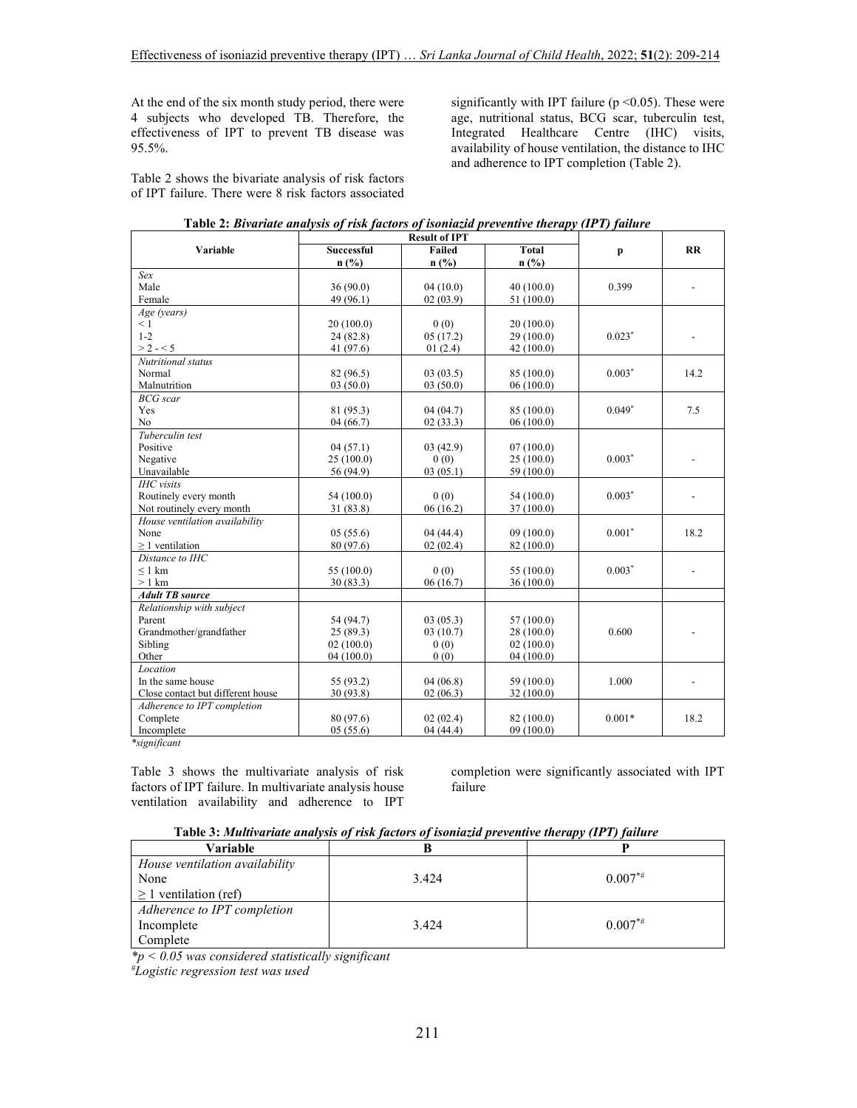At the end of the six month study period, there were 4 subjects who developed TB. Therefore, the effectiveness of IPT to prevent TB disease was 95.5%.

Table 2 shows the bivariate analysis of risk factors of IPT failure. There were 8 risk factors associated

significantly with IPT failure ( $p \le 0.05$ ). These were age, nutritional status, BCG scar, tuberculin test, Integrated Healthcare Centre (IHC) visits, availability of house ventilation, the distance to IHC and adherence to IPT completion (Table 2).

| гатс 2. Divariate analysis of risk factors of isomazia preventive inerapy (11-1) fature |                                                                     |          |            |          |      |
|-----------------------------------------------------------------------------------------|---------------------------------------------------------------------|----------|------------|----------|------|
| Variable                                                                                | <b>Result of IPT</b><br><b>Total</b><br><b>Successful</b><br>Failed |          |            | p        | RR   |
|                                                                                         | $n$ (%)                                                             | $n$ (%)  | n(%)       |          |      |
| Sex                                                                                     |                                                                     |          |            |          |      |
| Male                                                                                    | 36(90.0)                                                            | 04(10.0) | 40(100.0)  | 0.399    |      |
| Female                                                                                  | 49 (96.1)                                                           | 02(03.9) | 51(100.0)  |          |      |
| Age (years)                                                                             |                                                                     |          |            |          |      |
| $\leq 1$                                                                                | 20(100.0)                                                           | 0(0)     | 20(100.0)  |          |      |
| $1 - 2$                                                                                 | 24(82.8)                                                            | 05(17.2) | 29(100.0)  | $0.023*$ |      |
| $> 2 - 5$                                                                               | 41 $(97.6)$                                                         | 01(2.4)  | 42(100.0)  |          |      |
| Nutritional status                                                                      |                                                                     |          |            |          |      |
| Normal                                                                                  | 82 (96.5)                                                           | 03(03.5) | 85 (100.0) | $0.003*$ | 14.2 |
| Malnutrition                                                                            | 03(50.0)                                                            | 03(50.0) | 06(100.0)  |          |      |
| <b>BCG</b> scar                                                                         |                                                                     |          |            |          |      |
| Yes                                                                                     | 81 (95.3)                                                           | 04(04.7) | 85 (100.0) | $0.049*$ | 7.5  |
| No                                                                                      | 04(66.7)                                                            | 02(33.3) | 06(100.0)  |          |      |
| Tuberculin test                                                                         |                                                                     |          |            |          |      |
| Positive                                                                                | 04(57.1)                                                            | 03(42.9) | 07(100.0)  |          |      |
| Negative                                                                                | 25(100.0)                                                           | 0(0)     | 25(100.0)  | $0.003*$ |      |
| Unavailable                                                                             | 56 (94.9)                                                           | 03(05.1) | 59 (100.0) |          |      |
| <b>IHC</b> visits                                                                       |                                                                     |          |            |          |      |
| Routinely every month                                                                   | 54 (100.0)                                                          | 0(0)     | 54(100.0)  | $0.003*$ |      |
| Not routinely every month                                                               | 31(83.8)                                                            | 06(16.2) | 37(100.0)  |          |      |
| House ventilation availability                                                          |                                                                     |          |            |          |      |
| None                                                                                    | 05(55.6)                                                            | 04(44.4) | 09(100.0)  | $0.001*$ | 18.2 |
| $\geq 1$ ventilation                                                                    | 80 (97.6)                                                           | 02(02.4) | 82 (100.0) |          |      |
| Distance to IHC                                                                         |                                                                     |          |            |          |      |
| $\leq 1$ km                                                                             | 55(100.0)                                                           | 0(0)     | 55 (100.0) | $0.003*$ |      |
| $>1$ km                                                                                 | 30(83.3)                                                            | 06(16.7) | 36(100.0)  |          |      |
| <b>Adult TB source</b>                                                                  |                                                                     |          |            |          |      |
| Relationship with subject                                                               |                                                                     |          |            |          |      |
| Parent                                                                                  | 54 (94.7)                                                           | 03(05.3) | 57(100.0)  |          |      |
| Grandmother/grandfather                                                                 | 25(89.3)                                                            | 03(10.7) | 28(100.0)  | 0.600    |      |
| Sibling                                                                                 | 02(100.0)                                                           | 0(0)     | 02(100.0)  |          |      |
| Other                                                                                   | 04(100.0)                                                           | 0(0)     | 04(100.0)  |          |      |
| Location                                                                                |                                                                     |          |            |          |      |
| In the same house                                                                       | 55 (93.2)                                                           | 04(06.8) | 59 (100.0) | 1.000    |      |
| Close contact but different house                                                       | 30 (93.8)                                                           | 02(06.3) | 32(100.0)  |          |      |
| Adherence to IPT completion                                                             |                                                                     |          |            |          |      |
| Complete                                                                                | 80 (97.6)                                                           | 02(02.4) | 82 (100.0) | $0.001*$ | 18.2 |
| Incomplete<br>$*$ oiceai $\hat{H}$ oceat                                                | 05(55.6)                                                            | 04(44.4) | 09(100.0)  |          |      |

| Table 2: Bivariate analysis of risk factors of isoniazid preventive therapy (IPT) failure |  |
|-------------------------------------------------------------------------------------------|--|
|-------------------------------------------------------------------------------------------|--|

*\*significant* 

Table 3 shows the multivariate analysis of risk factors of IPT failure. In multivariate analysis house ventilation availability and adherence to IPT

completion were significantly associated with IPT failure

|  |  | Table 3: Multivariate analysis of risk factors of isoniazid preventive therapy (IPT) failure |  |  |  |  |  |
|--|--|----------------------------------------------------------------------------------------------|--|--|--|--|--|
|--|--|----------------------------------------------------------------------------------------------|--|--|--|--|--|

| Variable                       |       |           |
|--------------------------------|-------|-----------|
| House ventilation availability |       |           |
| None                           | 3.424 | $0.007**$ |
| $\geq 1$ ventilation (ref)     |       |           |
| Adherence to IPT completion    |       |           |
| Incomplete                     | 3.424 | $0.007**$ |
| Complete                       |       |           |

*\*p < 0.05 was considered statistically significant* 

*#Logistic regression test was used*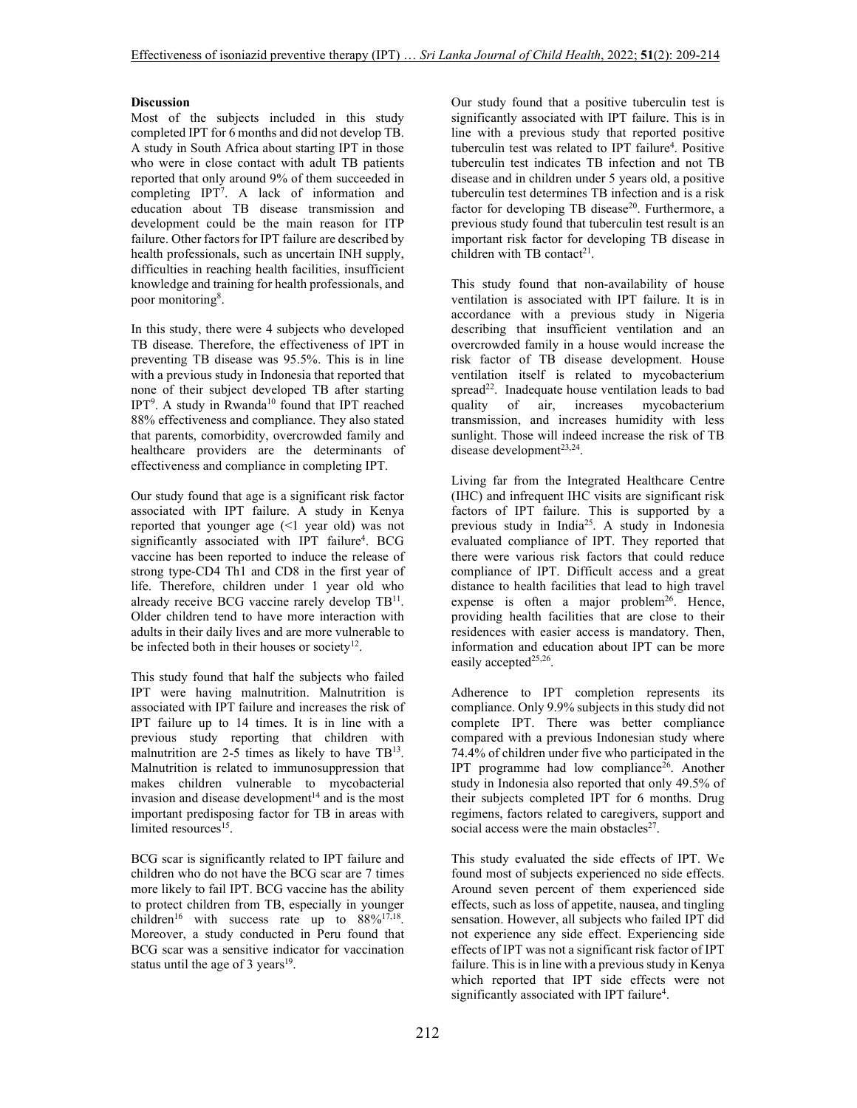## **Discussion**

Most of the subjects included in this study completed IPT for 6 months and did not develop TB. A study in South Africa about starting IPT in those who were in close contact with adult TB patients reported that only around 9% of them succeeded in completing IPT<sup>7</sup> . A lack of information and education about TB disease transmission and development could be the main reason for ITP failure. Other factors for IPT failure are described by health professionals, such as uncertain INH supply, difficulties in reaching health facilities, insufficient knowledge and training for health professionals, and poor monitoring<sup>8</sup>.

In this study, there were 4 subjects who developed TB disease. Therefore, the effectiveness of IPT in preventing TB disease was 95.5%. This is in line with a previous study in Indonesia that reported that none of their subject developed TB after starting IPT<sup>9</sup>. A study in Rwanda<sup>10</sup> found that IPT reached 88% effectiveness and compliance. They also stated that parents, comorbidity, overcrowded family and healthcare providers are the determinants of effectiveness and compliance in completing IPT.

Our study found that age is a significant risk factor associated with IPT failure. A study in Kenya reported that younger age (<1 year old) was not significantly associated with IPT failure<sup>4</sup>. BCG vaccine has been reported to induce the release of strong type-CD4 Th1 and CD8 in the first year of life. Therefore, children under 1 year old who already receive BCG vaccine rarely develop TB<sup>11</sup>. Older children tend to have more interaction with adults in their daily lives and are more vulnerable to be infected both in their houses or society<sup>12</sup>.

This study found that half the subjects who failed IPT were having malnutrition. Malnutrition is associated with IPT failure and increases the risk of IPT failure up to 14 times. It is in line with a previous study reporting that children with malnutrition are 2-5 times as likely to have TB<sup>13</sup>. Malnutrition is related to immunosuppression that makes children vulnerable to mycobacterial invasion and disease development $14$  and is the most important predisposing factor for TB in areas with limited resources<sup>15</sup>.

BCG scar is significantly related to IPT failure and children who do not have the BCG scar are 7 times more likely to fail IPT. BCG vaccine has the ability to protect children from TB, especially in younger children<sup>16</sup> with success rate up to  $88\%^{17,18}$ . Moreover, a study conducted in Peru found that BCG scar was a sensitive indicator for vaccination status until the age of 3 years $19$ .

Our study found that a positive tuberculin test is significantly associated with IPT failure. This is in line with a previous study that reported positive tuberculin test was related to IPT failure<sup>4</sup>. Positive tuberculin test indicates TB infection and not TB disease and in children under 5 years old, a positive tuberculin test determines TB infection and is a risk factor for developing TB disease<sup>20</sup>. Furthermore, a previous study found that tuberculin test result is an important risk factor for developing TB disease in children with TB contact<sup>21</sup>.

This study found that non-availability of house ventilation is associated with IPT failure. It is in accordance with a previous study in Nigeria describing that insufficient ventilation and an overcrowded family in a house would increase the risk factor of TB disease development. House ventilation itself is related to mycobacterium spread<sup>22</sup>. Inadequate house ventilation leads to bad quality of air, increases mycobacterium transmission, and increases humidity with less sunlight. Those will indeed increase the risk of TB disease development<sup>23,24</sup>.

Living far from the Integrated Healthcare Centre (IHC) and infrequent IHC visits are significant risk factors of IPT failure. This is supported by a previous study in India<sup>25</sup>. A study in Indonesia evaluated compliance of IPT. They reported that there were various risk factors that could reduce compliance of IPT. Difficult access and a great distance to health facilities that lead to high travel expense is often a major problem<sup>26</sup>. Hence, providing health facilities that are close to their residences with easier access is mandatory. Then, information and education about IPT can be more easily accepted<sup>25,26</sup>.

Adherence to IPT completion represents its compliance. Only 9.9% subjects in this study did not complete IPT. There was better compliance compared with a previous Indonesian study where 74.4% of children under five who participated in the IPT programme had low compliance<sup>26</sup>. Another study in Indonesia also reported that only 49.5% of their subjects completed IPT for 6 months. Drug regimens, factors related to caregivers, support and social access were the main obstacles<sup>27</sup>.

This study evaluated the side effects of IPT. We found most of subjects experienced no side effects. Around seven percent of them experienced side effects, such as loss of appetite, nausea, and tingling sensation. However, all subjects who failed IPT did not experience any side effect. Experiencing side effects of IPT was not a significant risk factor of IPT failure. This is in line with a previous study in Kenya which reported that IPT side effects were not significantly associated with IPT failure<sup>4</sup>.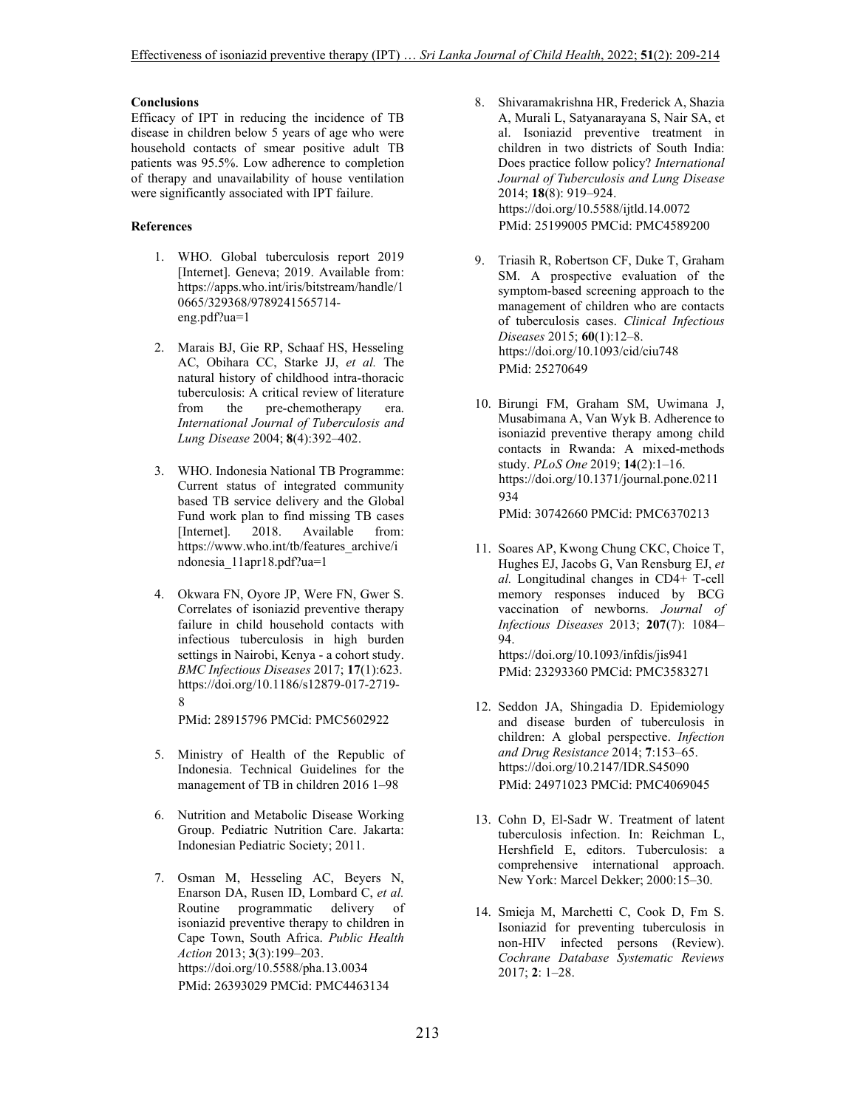## **Conclusions**

Efficacy of IPT in reducing the incidence of TB disease in children below 5 years of age who were household contacts of smear positive adult TB patients was 95.5%. Low adherence to completion of therapy and unavailability of house ventilation were significantly associated with IPT failure.

# **References**

- 1. WHO. Global tuberculosis report 2019 [Internet]. Geneva; 2019. Available from: https://apps.who.int/iris/bitstream/handle/1 0665/329368/9789241565714 eng.pdf?ua=1
- 2. Marais BJ, Gie RP, Schaaf HS, Hesseling AC, Obihara CC, Starke JJ, *et al.* The natural history of childhood intra-thoracic tuberculosis: A critical review of literature<br>from the pre-chemotherapy era. pre-chemotherapy era. *International Journal of Tuberculosis and Lung Disease* 2004; **8**(4):392–402.
- 3. WHO. Indonesia National TB Programme: Current status of integrated community based TB service delivery and the Global Fund work plan to find missing TB cases [Internet]. 2018. Available from: https://www.who.int/tb/features\_archive/i ndonesia\_11apr18.pdf?ua=1
- 4. Okwara FN, Oyore JP, Were FN, Gwer S. Correlates of isoniazid preventive therapy failure in child household contacts with infectious tuberculosis in high burden settings in Nairobi, Kenya - a cohort study. *BMC Infectious Diseases* 2017; **17**(1):623. https://doi.org/10.1186/s12879-017-2719- 8

PMid: 28915796 PMCid: PMC5602922

- 5. Ministry of Health of the Republic of Indonesia. Technical Guidelines for the management of TB in children 2016 1–98
- 6. Nutrition and Metabolic Disease Working Group. Pediatric Nutrition Care. Jakarta: Indonesian Pediatric Society; 2011.
- 7. Osman M, Hesseling AC, Beyers N, Enarson DA, Rusen ID, Lombard C, *et al.* Routine programmatic delivery of isoniazid preventive therapy to children in Cape Town, South Africa. *Public Health Action* 2013; **3**(3):199–203. https://doi.org/10.5588/pha.13.0034 PMid: 26393029 PMCid: PMC4463134
- 8. Shivaramakrishna HR, Frederick A, Shazia A, Murali L, Satyanarayana S, Nair SA, et al. Isoniazid preventive treatment in children in two districts of South India: Does practice follow policy? *International Journal of Tuberculosis and Lung Disease* 2014; **18**(8): 919–924. https://doi.org/10.5588/ijtld.14.0072 PMid: 25199005 PMCid: PMC4589200
- 9. Triasih R, Robertson CF, Duke T, Graham SM. A prospective evaluation of the symptom-based screening approach to the management of children who are contacts of tuberculosis cases. *Clinical Infectious Diseases* 2015; **60**(1):12–8. https://doi.org/10.1093/cid/ciu748 PMid: 25270649
- 10. Birungi FM, Graham SM, Uwimana J, Musabimana A, Van Wyk B. Adherence to isoniazid preventive therapy among child contacts in Rwanda: A mixed-methods study. *PLoS One* 2019; **14**(2):1–16. https://doi.org/10.1371/journal.pone.0211 934 PMid: 30742660 PMCid: PMC6370213
- 11. Soares AP, Kwong Chung CKC, Choice T, Hughes EJ, Jacobs G, Van Rensburg EJ, *et al.* Longitudinal changes in CD4+ T-cell memory responses induced by BCG vaccination of newborns. *Journal of Infectious Diseases* 2013; **207**(7): 1084– 94. https://doi.org/10.1093/infdis/jis941

PMid: 23293360 PMCid: PMC3583271

- 12. Seddon JA, Shingadia D. Epidemiology and disease burden of tuberculosis in children: A global perspective. *Infection and Drug Resistance* 2014; **7**:153–65. https://doi.org/10.2147/IDR.S45090 PMid: 24971023 PMCid: PMC4069045
- 13. Cohn D, El-Sadr W. Treatment of latent tuberculosis infection. In: Reichman L, Hershfield E, editors. Tuberculosis: a comprehensive international approach. New York: Marcel Dekker; 2000:15–30.
- 14. Smieja M, Marchetti C, Cook D, Fm S. Isoniazid for preventing tuberculosis in non-HIV infected persons (Review). *Cochrane Database Systematic Reviews* 2017; **2**: 1–28.